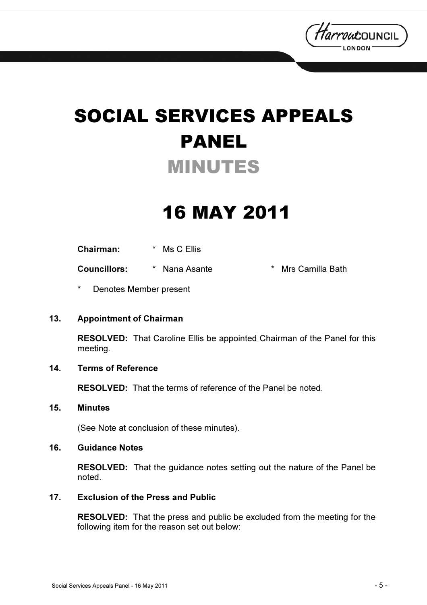

# SOCIAL SERVICES APPEALS PANEL MINUTES

## 16 MAY 2011

Chairman: \* Ms C Ellis

Councillors: \* Nana Asante \* Mrs Camilla Bath

Denotes Member present

#### 13. Appointment of Chairman

RESOLVED: That Caroline Ellis be appointed Chairman of the Panel for this meeting.

#### 14. Terms of Reference

RESOLVED: That the terms of reference of the Panel be noted.

#### 15. Minutes

(See Note at conclusion of these minutes).

#### 16. Guidance Notes

RESOLVED: That the guidance notes setting out the nature of the Panel be noted.

#### 17. Exclusion of the Press and Public

RESOLVED: That the press and public be excluded from the meeting for the following item for the reason set out below: